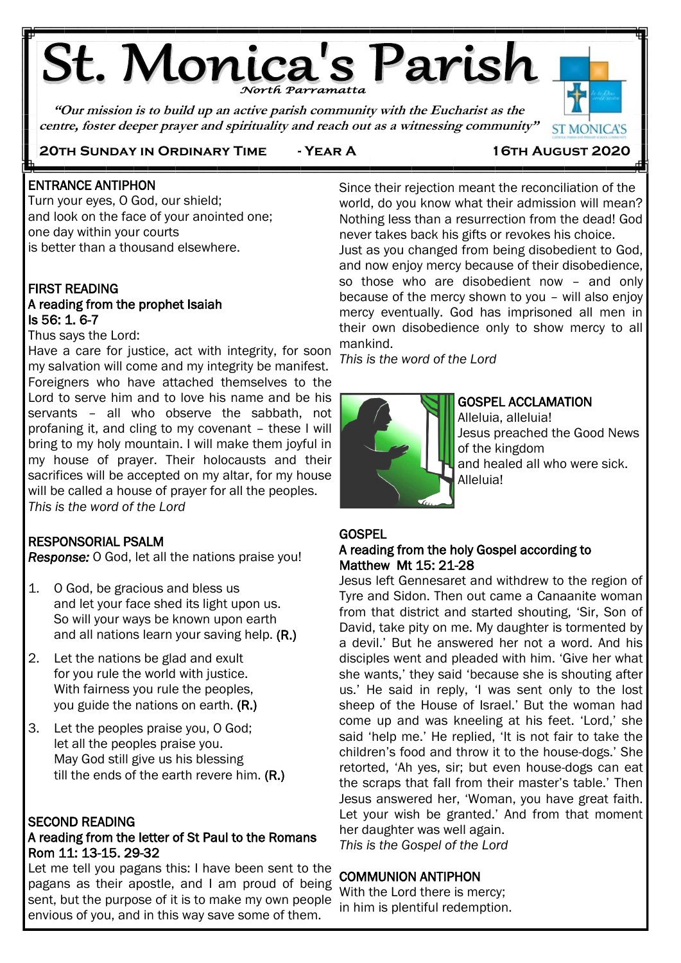# **St. Monica's Parish**

**"Our mission is to build up an active parish community with the Eucharist as the centre, foster deeper prayer and spirituality and reach out as a witnessing community"**



## **20th Sunday in Ordinary Time - Year A 16th August 2020**

#### j ENTRANCE ANTIPHON

Ë

Turn your eyes, O God, our shield; and look on the face of your anointed one; one day within your courts is better than a thousand elsewhere.

## FIRST READING

## A reading from the prophet Isaiah Is 56: 1. 6-7

### Thus says the Lord:

Have a care for justice, act with integrity, for soon my salvation will come and my integrity be manifest. Foreigners who have attached themselves to the Lord to serve him and to love his name and be his servants – all who observe the sabbath, not profaning it, and cling to my covenant – these I will bring to my holy mountain. I will make them joyful in my house of prayer. Their holocausts and their sacrifices will be accepted on my altar, for my house will be called a house of prayer for all the peoples. *This is the word of the Lord* j

## RESPONSORIAL PSALM

*Response:* O God, let all the nations praise you!

- 1. O God, be gracious and bless us and let your face shed its light upon us. So will your ways be known upon earth and all nations learn your saving help. (R.)
- 2. Let the nations be glad and exult for you rule the world with justice. With fairness you rule the peoples, you guide the nations on earth. (R.)
- 3. Let the peoples praise you, O God; let all the peoples praise you. May God still give us his blessing till the ends of the earth revere him. (R.)

## SECOND READING

## A reading from the letter of St Paul to the Romans Rom 11: 13-15. 29-32

Let me tell you pagans this: I have been sent to the pagans as their apostle, and I am proud of being sent, but the purpose of it is to make my own people envious of you, and in this way save some of them.

Since their rejection meant the reconciliation of the world, do you know what their admission will mean? Nothing less than a resurrection from the dead! God never takes back his gifts or revokes his choice. Just as you changed from being disobedient to God, and now enjoy mercy because of their disobedience, so those who are disobedient now – and only because of the mercy shown to you – will also enjoy mercy eventually. God has imprisoned all men in their own disobedience only to show mercy to all mankind.

*This is the word of the Lord*



## GOSPEL ACCLAMATION

Alleluia, alleluia! Jesus preached the Good News of the kingdom and healed all who were sick. Alleluia!

## **GOSPEL**

## A reading from the holy Gospel according to Matthew Mt 15: 21-28

Jesus left Gennesaret and withdrew to the region of Tyre and Sidon. Then out came a Canaanite woman from that district and started shouting, 'Sir, Son of David, take pity on me. My daughter is tormented by a devil.' But he answered her not a word. And his disciples went and pleaded with him. 'Give her what she wants,' they said 'because she is shouting after us.' He said in reply, 'I was sent only to the lost sheep of the House of Israel.' But the woman had come up and was kneeling at his feet. 'Lord,' she said 'help me.' He replied, 'It is not fair to take the children's food and throw it to the house-dogs.' She retorted, 'Ah yes, sir; but even house-dogs can eat the scraps that fall from their master's table.' Then Jesus answered her, 'Woman, you have great faith. Let your wish be granted.' And from that moment her daughter was well again.

*This is the Gospel of the Lord*

## COMMUNION ANTIPHON

With the Lord there is mercy; in him is plentiful redemption.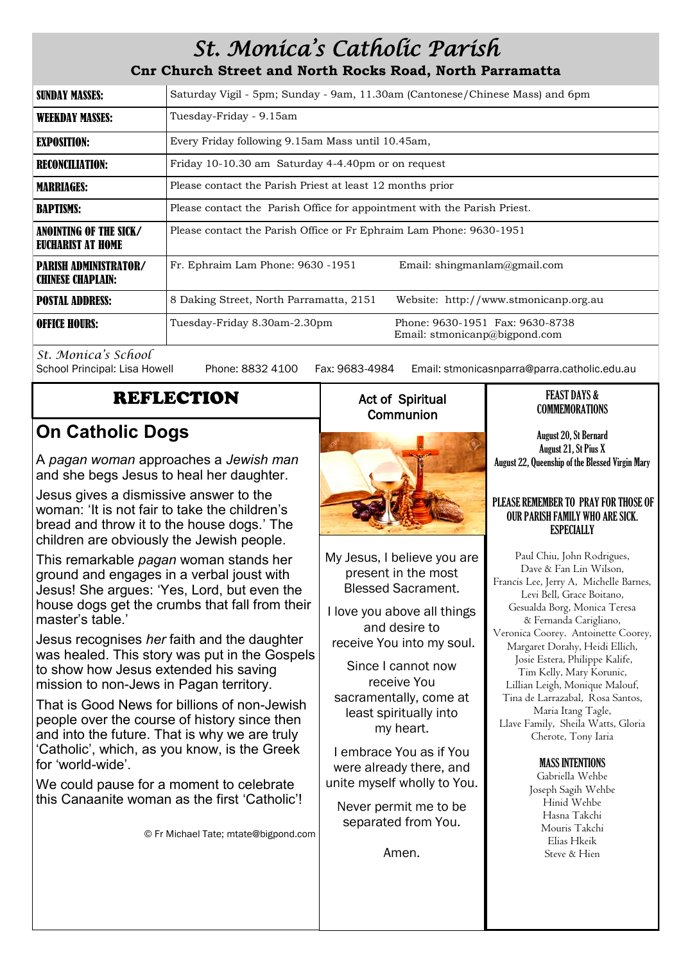## *St. Monica's Catholic Parish*

## **Cnr Church Street and North Rocks Road, North Parramatta**

| <b>SUNDAY MASSES:</b>                                    | Saturday Vigil - 5pm; Sunday - 9am, 11.30am (Cantonese/Chinese Mass) and 6pm |                                                                  |
|----------------------------------------------------------|------------------------------------------------------------------------------|------------------------------------------------------------------|
| <b>WEEKDAY MASSES:</b>                                   | Tuesday-Friday - 9.15am                                                      |                                                                  |
| EXPOSITION:                                              | Every Friday following 9.15am Mass until 10.45am,                            |                                                                  |
| <b>RECONCILIATION:</b>                                   | Friday 10-10.30 am Saturday 4-4.40pm or on request                           |                                                                  |
| <b>MARRIAGES:</b>                                        | Please contact the Parish Priest at least 12 months prior                    |                                                                  |
| <b>BAPTISMS:</b>                                         | Please contact the Parish Office for appointment with the Parish Priest.     |                                                                  |
| ANOINTING OF THE SICK/<br>EUCHARIST AT HOME              | Please contact the Parish Office or Fr Ephraim Lam Phone: 9630-1951          |                                                                  |
| <b>PARISH ADMINISTRATOR/</b><br><b>CHINESE CHAPLAIN:</b> | Fr. Ephraim Lam Phone: 9630 -1951                                            | Email: shingmanlam@gmail.com                                     |
| <b>POSTAL ADDRESS:</b>                                   | 8 Daking Street, North Parramatta, 2151                                      | Website: http://www.stmonicanp.org.au                            |
| <b>OFFICE HOURS:</b>                                     | Tuesday-Friday 8.30am-2.30pm                                                 | Phone: 9630-1951 Fax: 9630-8738<br>Email: stmonicanp@bigpond.com |

*St. Monica's School*

Phone: 8832 4100 Fax: 9683-4984 Email: stmonicasnparra@parra.catholic.edu.au

## REFLECTION

## **On Catholic Dogs**

A *pagan woman* approaches a *Jewish man* and she begs Jesus to heal her daughter.

Jesus gives a dismissive answer to the woman: 'It is not fair to take the children's bread and throw it to the house dogs.' The children are obviously the Jewish people.

This remarkable *pagan* woman stands her ground and engages in a verbal joust with Jesus! She argues: 'Yes, Lord, but even the house dogs get the crumbs that fall from their master's table.'

Jesus recognises *her* faith and the daughter was healed. This story was put in the Gospels to show how Jesus extended his saving mission to non-Jews in Pagan territory.

That is Good News for billions of non-Jewish people over the course of history since then and into the future. That is why we are truly 'Catholic', which, as you know, is the Greek for 'world-wide'.

We could pause for a moment to celebrate this Canaanite woman as the first 'Catholic'!

© Fr Michael Tate; mtate@bigpond.com

## Act of Spiritual **Communion**



My Jesus, I believe you are present in the most Blessed Sacrament.

I love you above all things and desire to receive You into my soul.

Since I cannot now receive You sacramentally, come at least spiritually into my heart.

I embrace You as if You were already there, and unite myself wholly to You.

Never permit me to be separated from You.

Amen.

#### FEAST DAYS & COMMEMORATIONS

August 20, St Bernard August 21, St Pius X August 22, Queenship of the Blessed Virgin Mary

#### PLEASE REMEMBER TO PRAY FOR THOSE OF OUR PARISH FAMILY WHO ARE SICK. **ESPECIALLY**

Paul Chiu, John Rodrigues, Dave & Fan Lin Wilson, Francis Lee, Jerry A, Michelle Barnes, Levi Bell, Grace Boitano, Gesualda Borg, Monica Teresa & Fernanda Carigliano, Veronica Coorey. Antoinette Coorey, Margaret Dorahy, Heidi Ellich, Josie Estera, Philippe Kalife, Tim Kelly, Mary Korunic, Lillian Leigh, Monique Malouf, Tina de Larrazabal, Rosa Santos, Maria Itang Tagle, Llave Family, Sheila Watts, Gloria Cherote, Tony Iaria

### MASS INTENTIONS

Gabriella Wehbe Joseph Sagih Wehbe Hinid Wehbe Hasna Takchi Mouris Takchi Elias Hkeik Steve & Hien